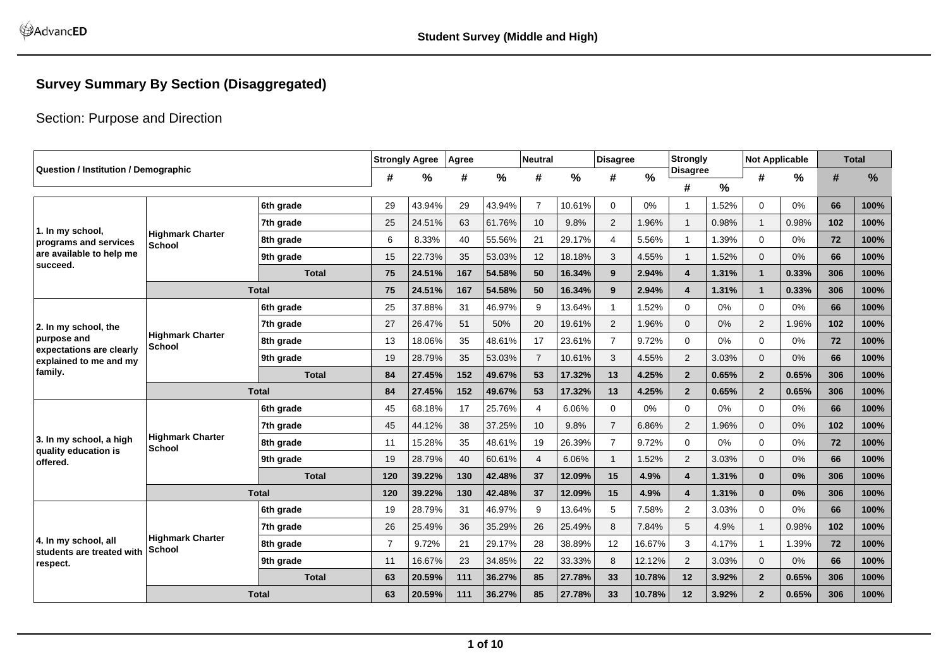### **Survey Summary By Section (Disaggregated)**

### Section: Purpose and Direction

| <b>Question / Institution / Demographic</b>       |                         |              |                | <b>Strongly Agree</b> | Agree |               | <b>Neutral</b> |        | <b>Disagree</b> |        | Strongly             |               | <b>Not Applicable</b> |               |     | <b>Total</b> |
|---------------------------------------------------|-------------------------|--------------|----------------|-----------------------|-------|---------------|----------------|--------|-----------------|--------|----------------------|---------------|-----------------------|---------------|-----|--------------|
|                                                   |                         |              | #              | %                     | #     | $\frac{9}{6}$ | #              | $\%$   | #               | %      | <b>Disagree</b><br># | $\frac{0}{0}$ | #                     | $\frac{9}{6}$ | #   | %            |
|                                                   |                         | 6th grade    | 29             | 43.94%                | 29    | 43.94%        | $\overline{7}$ | 10.61% | 0               | 0%     |                      | 1.52%         | 0                     | 0%            | 66  | 100%         |
|                                                   |                         | 7th grade    | 25             | 24.51%                | 63    | 61.76%        | 10             | 9.8%   | 2               | 1.96%  | $\mathbf{1}$         | 0.98%         |                       | 0.98%         | 102 | 100%         |
| 1. In my school,                                  | <b>Highmark Charter</b> | 8th grade    | 6              | 8.33%                 | 40    | 55.56%        | 21             | 29.17% | $\overline{4}$  | 5.56%  | $\overline{1}$       | 1.39%         | $\mathbf 0$           | 0%            | 72  | 100%         |
| programs and services<br>are available to help me | <b>School</b>           | 9th grade    | 15             | 22.73%                | 35    | 53.03%        | 12             | 18.18% | 3               | 4.55%  |                      | 1.52%         | $\mathbf{0}$          | 0%            | 66  | 100%         |
| succeed.                                          |                         | <b>Total</b> | 75             | 24.51%                | 167   | 54.58%        | 50             | 16.34% | 9               | 2.94%  | 4                    | 1.31%         | $\mathbf{1}$          | 0.33%         | 306 | 100%         |
|                                                   |                         | <b>Total</b> | 75             | 24.51%                | 167   | 54.58%        | 50             | 16.34% | 9               | 2.94%  | 4                    | 1.31%         | $\mathbf{1}$          | 0.33%         | 306 | 100%         |
|                                                   |                         | 6th grade    | 25             | 37.88%                | 31    | 46.97%        | 9              | 13.64% | $\overline{1}$  | 1.52%  | $\Omega$             | 0%            | $\Omega$              | 0%            | 66  | 100%         |
|                                                   |                         | 7th grade    | 27             | 26.47%                | 51    | 50%           | 20             | 19.61% | 2               | 1.96%  | $\mathbf{0}$         | 0%            | 2                     | 1.96%         | 102 | 100%         |
| 2. In my school, the<br>purpose and               | <b>Highmark Charter</b> | 8th grade    | 13             | 18.06%                | 35    | 48.61%        | 17             | 23.61% | $\overline{7}$  | 9.72%  | $\Omega$             | 0%            | $\Omega$              | 0%            | 72  | 100%         |
| expectations are clearly                          | School                  | 9th grade    | 19             | 28.79%                | 35    | 53.03%        | $\overline{7}$ | 10.61% | 3               | 4.55%  | $\overline{2}$       | 3.03%         | $\mathbf{0}$          | 0%            | 66  | 100%         |
| explained to me and my<br>family.                 |                         | <b>Total</b> | 84             | 27.45%                | 152   | 49.67%        | 53             | 17.32% | 13              | 4.25%  | $\overline{2}$       | 0.65%         | $\overline{2}$        | 0.65%         | 306 | 100%         |
|                                                   |                         | <b>Total</b> | 84             | 27.45%                | 152   | 49.67%        | 53             | 17.32% | 13              | 4.25%  | $\overline{2}$       | 0.65%         | $\overline{2}$        | 0.65%         | 306 | 100%         |
|                                                   |                         |              |                |                       |       |               |                |        |                 |        |                      |               |                       |               |     |              |
|                                                   |                         | 6th grade    | 45             | 68.18%                | 17    | 25.76%        | $\overline{4}$ | 6.06%  | $\mathbf 0$     | 0%     | $\mathbf 0$          | 0%            | $\mathbf 0$           | 0%            | 66  | 100%         |
| 3. In my school, a high                           | <b>Highmark Charter</b> | 7th grade    | 45             | 44.12%                | 38    | 37.25%        | 10             | 9.8%   | $\overline{7}$  | 6.86%  | $\overline{2}$       | .96%          | $\mathbf{0}$          | 0%            | 102 | 100%         |
| quality education is                              | School                  | 8th grade    | 11             | 15.28%                | 35    | 48.61%        | 19             | 26.39% | $\overline{7}$  | 9.72%  | 0                    | 0%            | 0                     | 0%            | 72  | 100%         |
| offered.                                          |                         | 9th grade    | 19             | 28.79%                | 40    | 60.61%        | $\overline{4}$ | 6.06%  | $\mathbf{1}$    | 1.52%  | 2                    | 3.03%         | $\mathbf{0}$          | 0%            | 66  | 100%         |
|                                                   |                         | <b>Total</b> | 120            | 39.22%                | 130   | 42.48%        | 37             | 12.09% | 15              | 4.9%   | 4                    | 1.31%         | $\bf{0}$              | 0%            | 306 | 100%         |
|                                                   |                         | <b>Total</b> | 120            | 39.22%                | 130   | 42.48%        | 37             | 12.09% | 15              | 4.9%   | 4                    | 1.31%         | $\bf{0}$              | 0%            | 306 | 100%         |
|                                                   |                         | 6th grade    | 19             | 28.79%                | 31    | 46.97%        | 9              | 13.64% | 5               | 7.58%  | $\overline{2}$       | 3.03%         | 0                     | 0%            | 66  | 100%         |
|                                                   | <b>Highmark Charter</b> | 7th grade    | 26             | 25.49%                | 36    | 35.29%        | 26             | 25.49% | 8               | 7.84%  | 5                    | 4.9%          |                       | 0.98%         | 102 | 100%         |
| 4. In my school, all<br>students are treated with | School                  | 8th grade    | $\overline{7}$ | 9.72%                 | 21    | 29.17%        | 28             | 38.89% | 12              | 16.67% | 3                    | 4.17%         | $\mathbf{1}$          | 1.39%         | 72  | 100%         |
| respect.                                          |                         | 9th grade    | 11             | 16.67%                | 23    | 34.85%        | 22             | 33.33% | 8               | 12.12% | $\overline{2}$       | 3.03%         | $\mathbf{0}$          | 0%            | 66  | 100%         |
|                                                   |                         | <b>Total</b> | 63             | 20.59%                | 111   | 36.27%        | 85             | 27.78% | 33              | 10.78% | 12                   | 3.92%         | $\mathbf{2}$          | 0.65%         | 306 | 100%         |
|                                                   |                         | <b>Total</b> | 63             | 20.59%                | 111   | 36.27%        | 85             | 27.78% | 33              | 10.78% | 12                   | 3.92%         | $\overline{2}$        | 0.65%         | 306 | 100%         |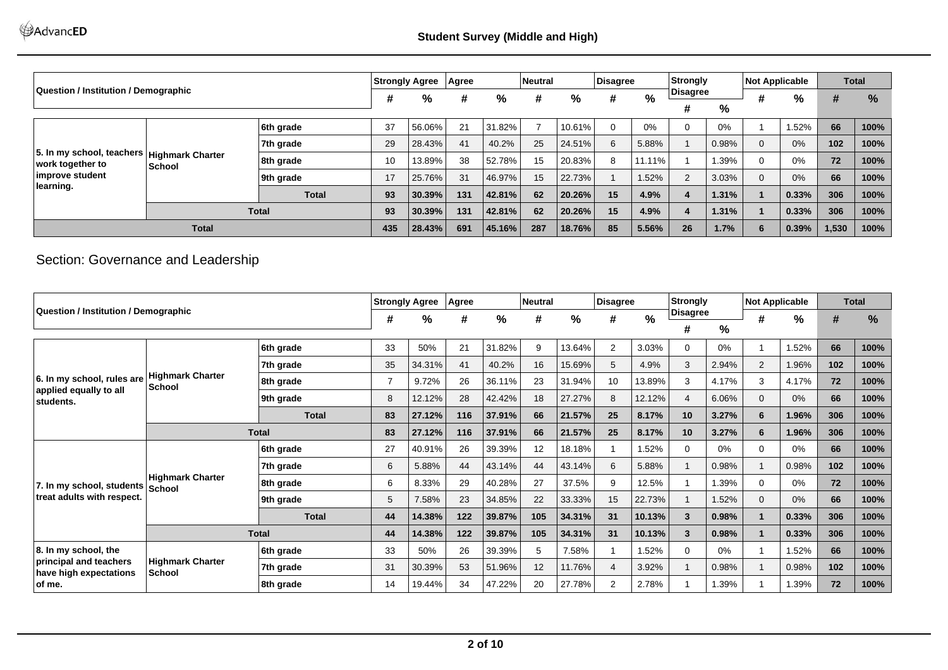|                                             |                                                            |              | <b>Strongly Agree</b> |        | Agree |        | <b>Neutral</b> |        | Disagree |        | Strongly  |       | <b>Not Applicable</b> |       |       | <b>Total</b>  |
|---------------------------------------------|------------------------------------------------------------|--------------|-----------------------|--------|-------|--------|----------------|--------|----------|--------|-----------|-------|-----------------------|-------|-------|---------------|
| <b>Question / Institution / Demographic</b> |                                                            |              | #                     | %      | #     | %      | #              | %      | #        | $\%$   | ∣Disagree |       |                       | %     | #     | $\frac{9}{6}$ |
|                                             |                                                            |              |                       |        |       |        |                |        |          |        | #         | %     |                       |       |       |               |
|                                             |                                                            | 6th grade    | 37                    | 56.06% | 21    | 31.82% |                | 10.61% | $\Omega$ | $0\%$  |           | 0%    |                       | .52%  | 66    | 100%          |
|                                             | 7th grade<br>5. In my school, teachers<br>Highmark Charter |              |                       |        |       | 40.2%  | 25             | 24.51% | 6        | 5.88%  |           | 0.98% |                       | 0%    | 102   | 100%          |
| work together to                            | School                                                     | 8th grade    | 10                    | 13.89% | 38    | 52.78% | 15             | 20.83% | 8        | 11.11% |           | 1.39% |                       | 0%    | 72    | 100%          |
| improve student                             |                                                            | 9th grade    | 17                    | 25.76% | 31    | 46.97% | 15             | 22.73% |          | 1.52%  | C.        | 3.03% | $\Omega$              | 0%    | 66    | 100%          |
| learning.                                   |                                                            | <b>Total</b> | 93                    | 30.39% | 131   | 42.81% | 62             | 20.26% | 15       | 4.9%   |           | 1.31% |                       | 0.33% | 306   | 100%          |
|                                             | <b>Total</b>                                               |              |                       |        | 131   | 42.81% | 62             | 20.26% | 15       | 4.9%   |           | 1.31% |                       | 0.33% | 306   | 100%          |
|                                             | <b>Total</b>                                               |              |                       |        | 691   | 45.16% | 287            | 18.76% | 85       | 5.56%  | 26        | 1.7%  | 6                     | 0.39% | 1,530 | 100%          |

# Section: Governance and Leadership

|                                                                                     |                                          |              |                | <b>Strongly Agree</b> | Agree |        | <b>Neutral</b> |        | Disagree       |               | Strongly        |               | <b>Not Applicable</b> |       |     | <b>Total</b> |
|-------------------------------------------------------------------------------------|------------------------------------------|--------------|----------------|-----------------------|-------|--------|----------------|--------|----------------|---------------|-----------------|---------------|-----------------------|-------|-----|--------------|
| Question / Institution / Demographic                                                |                                          |              | #              | %                     | #     | %      | #              | %      | #              | $\frac{0}{0}$ | <b>Disagree</b> |               | #                     | $\%$  | #   | %            |
|                                                                                     |                                          |              |                |                       |       |        |                |        |                |               | #               | $\frac{9}{6}$ |                       |       |     |              |
|                                                                                     |                                          | 6th grade    | 33             | 50%                   | 21    | 31.82% | 9              | 13.64% | 2              | 3.03%         | 0               | 0%            |                       | 1.52% | 66  | 100%         |
|                                                                                     |                                          | 7th grade    | 35             | 34.31%                | 41    | 40.2%  | 16             | 15.69% | 5              | 4.9%          | 3               | 2.94%         | $\overline{2}$        | .96%  | 102 | 100%         |
| 6. In my school, rules are                                                          | <b>Highmark Charter</b><br><b>School</b> | 8th grade    | $\overline{7}$ | 9.72%                 | 26    | 36.11% | 23             | 31.94% | 10             | 13.89%        | 3               | 4.17%         | 3                     | 4.17% | 72  | 100%         |
| applied equally to all<br>students.                                                 |                                          | 9th grade    | 8              | 12.12%                | 28    | 42.42% | 18             | 27.27% | 8              | 12.12%        | 4               | 6.06%         | $\mathbf{0}$          | 0%    | 66  | 100%         |
|                                                                                     |                                          | <b>Total</b> | 83             | 27.12%                | 116   | 37.91% | 66             | 21.57% | 25             | 8.17%         | 10              | 3.27%         | 6                     | 1.96% | 306 | 100%         |
|                                                                                     |                                          | <b>Total</b> | 83             | 27.12%                | 116   | 37.91% | 66             | 21.57% | 25             | 8.17%         | 10              | 3.27%         | 6                     | 1.96% | 306 | 100%         |
|                                                                                     |                                          | 6th grade    | 27             | 40.91%                | 26    | 39.39% | 12             | 18.18% |                | 1.52%         |                 | $0\%$         | 0                     | 0%    | 66  | 100%         |
|                                                                                     |                                          | 7th grade    | 6              | 5.88%                 | 44    | 43.14% | 44             | 43.14% | 6              | 5.88%         |                 | 0.98%         | 1                     | 0.98% | 102 | 100%         |
| 7. In my school, students School                                                    | <b>Highmark Charter</b>                  | 8th grade    | 6              | 8.33%                 | 29    | 40.28% | 27             | 37.5%  | 9              | 12.5%         |                 | .39%          | $\Omega$              | 0%    | 72  | 100%         |
| treat adults with respect.                                                          |                                          | 9th grade    | 5              | 7.58%                 | 23    | 34.85% | 22             | 33.33% | 15             | 22.73%        |                 | .52%          | 0                     | 0%    | 66  | 100%         |
|                                                                                     |                                          | <b>Total</b> | 44             | 14.38%                | $122$ | 39.87% | 105            | 34.31% | 31             | 10.13%        | 3               | 0.98%         |                       | 0.33% | 306 | 100%         |
| 8. In my school, the<br>principal and teachers<br>have high expectations<br>∣of me. |                                          | <b>Total</b> | 44             | 14.38%                | 122   | 39.87% | 105            | 34.31% | 31             | 10.13%        | 3               | 0.98%         |                       | 0.33% | 306 | 100%         |
|                                                                                     |                                          | 6th grade    | 33             | 50%                   | 26    | 39.39% | 5              | 7.58%  |                | 1.52%         | 0               | $0\%$         | 1                     | 1.52% | 66  | 100%         |
|                                                                                     | <b>Highmark Charter</b><br><b>School</b> | 7th grade    | 31             | 30.39%                | 53    | 51.96% | 12             | 11.76% | $\overline{4}$ | 3.92%         |                 | 0.98%         |                       | 0.98% | 102 | 100%         |
|                                                                                     |                                          | 8th grade    | 14             | 19.44%                | 34    | 47.22% | 20             | 27.78% | 2              | 2.78%         |                 | .39%          |                       | .39%  | 72  | 100%         |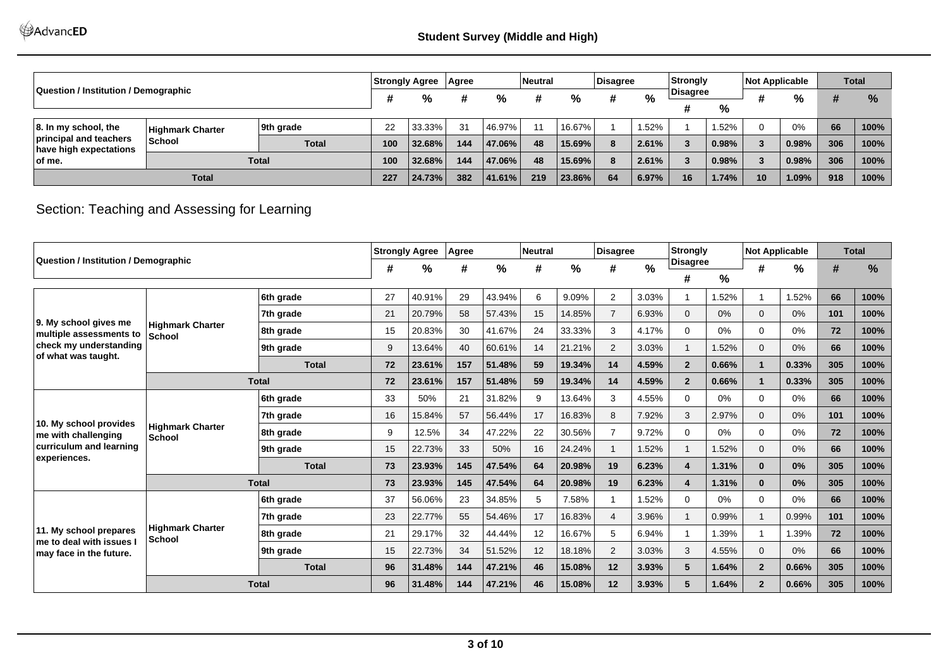|                                                  |                         |              | Strongly Agree |        | <b>Agree</b> |         | <b>Neutral</b> |        | Disagree |       | Strongly  |       | <b>Not Applicable</b> |       |     | <b>Total</b>  |
|--------------------------------------------------|-------------------------|--------------|----------------|--------|--------------|---------|----------------|--------|----------|-------|-----------|-------|-----------------------|-------|-----|---------------|
| Question / Institution / Demographic             |                         |              |                | %      |              | %       |                | %      | #        | %     | ∣Disagree |       |                       | %     | #   | $\frac{9}{6}$ |
|                                                  |                         |              |                |        |              |         |                |        |          |       |           | %     |                       |       |     |               |
| $ 8.$ In my school, the                          | <b>Highmark Charter</b> | 9th grade    | 22             | 33.33% | 31           | 46.97%  | 11             | 16.67% |          | .52%  |           | .52%  | 0                     | 0%    | 66  | 100%          |
| principal and teachers<br>have high expectations | <b>School</b>           | <b>Total</b> | 100            | 32.68% | 144          | 47.06%  | 48             | 15.69% | 8        | 2.61% |           | 0.98% | 3                     | 0.98% | 306 | 100%          |
| ∣of me.                                          | <b>Total</b>            |              |                | 32.68% | 144          | 47.06%  | 48             | 15.69% | 8        | 2.61% |           | 0.98% | 3                     | 0.98% | 306 | 100%          |
|                                                  | <b>Total</b>            |              |                | 24.73% | 382          | 141.61% | 219            | 23.86% | 64       | 6.97% | 16        | 1.74% | 10                    | 1.09% | 918 | 100%          |

# Section: Teaching and Assessing for Learning

|                                                              |                                          |              | <b>Strongly Agree</b> |        | Agree |        | <b>Neutral</b> |        | <b>Disagree</b> |       | Strongly        |               | <b>Not Applicable</b> |               |     | <b>Total</b> |
|--------------------------------------------------------------|------------------------------------------|--------------|-----------------------|--------|-------|--------|----------------|--------|-----------------|-------|-----------------|---------------|-----------------------|---------------|-----|--------------|
| Question / Institution / Demographic                         |                                          |              | #                     | %      | #     | %      | #              | %      | #               | $\%$  | <b>Disagree</b> |               | #                     | $\frac{9}{6}$ | #   | %            |
|                                                              |                                          |              |                       |        |       |        |                |        |                 |       | #               | $\frac{0}{0}$ |                       |               |     |              |
|                                                              |                                          | 6th grade    | 27                    | 40.91% | 29    | 43.94% | 6              | 9.09%  | 2               | 3.03% |                 | 1.52%         |                       | 1.52%         | 66  | 100%         |
| 9. My school gives me                                        |                                          | 7th grade    | 21                    | 20.79% | 58    | 57.43% | 15             | 14.85% | $\overline{7}$  | 6.93% | $\Omega$        | $0\%$         | $\Omega$              | 0%            | 101 | 100%         |
| multiple assessments to                                      | <b>Highmark Charter</b><br><b>School</b> | 8th grade    | 15                    | 20.83% | 30    | 41.67% | 24             | 33.33% | 3               | 4.17% | $\Omega$        | $0\%$         | $\Omega$              | 0%            | 72  | 100%         |
| check my understanding                                       |                                          | 9th grade    | 9                     | 13.64% | 40    | 60.61% | 14             | 21.21% | 2               | 3.03% |                 | 1.52%         | $\mathbf 0$           | 0%            | 66  | 100%         |
| of what was taught.                                          |                                          | <b>Total</b> | 72                    | 23.61% | 157   | 51.48% | 59             | 19.34% | 14              | 4.59% | $\overline{2}$  | 0.66%         | $\mathbf 1$           | 0.33%         | 305 | 100%         |
|                                                              |                                          | <b>Total</b> | 72                    | 23.61% | 157   | 51.48% | 59             | 19.34% | 14              | 4.59% | $\overline{2}$  | 0.66%         | $\mathbf{1}$          | 0.33%         | 305 | 100%         |
|                                                              |                                          | 6th grade    | 33                    | 50%    | 21    | 31.82% | 9              | 13.64% | 3               | 4.55% | $\Omega$        | $0\%$         | $\Omega$              | 0%            | 66  | 100%         |
|                                                              |                                          | 7th grade    | 16                    | 15.84% | 57    | 56.44% | 17             | 16.83% | 8               | 7.92% | 3               | 2.97%         | $\Omega$              | 0%            | 101 | 100%         |
| 10. My school provides<br>me with challenging                | <b>Highmark Charter</b><br>School        | 8th grade    | 9                     | 12.5%  | 34    | 47.22% | 22             | 30.56% | $\overline{7}$  | 9.72% | $\Omega$        | $0\%$         | $\Omega$              | 0%            | 72  | 100%         |
| curriculum and learning                                      |                                          | 9th grade    | 15                    | 22.73% | 33    | 50%    | 16             | 24.24% | $\overline{1}$  | 1.52% |                 | 1.52%         | $\mathbf{0}$          | 0%            | 66  | 100%         |
| experiences.                                                 |                                          | <b>Total</b> | 73                    | 23.93% | 145   | 47.54% | 64             | 20.98% | 19              | 6.23% |                 | 1.31%         | $\bf{0}$              | 0%            | 305 | 100%         |
|                                                              |                                          | <b>Total</b> | 73                    | 23.93% | 145   | 47.54% | 64             | 20.98% | 19              | 6.23% |                 | 1.31%         | $\bf{0}$              | 0%            | 305 | 100%         |
|                                                              |                                          | 6th grade    | 37                    | 56.06% | 23    | 34.85% | 5              | 7.58%  | -1              | 1.52% | $\Omega$        | $0\%$         | $\Omega$              | 0%            | 66  | 100%         |
|                                                              |                                          | 7th grade    | 23                    | 22.77% | 55    | 54.46% | 17             | 16.83% | $\overline{4}$  | 3.96% |                 | 0.99%         | $\mathbf 1$           | 0.99%         | 101 | 100%         |
| 11. My school prepares                                       | <b>Highmark Charter</b><br><b>School</b> | 8th grade    | 21                    | 29.17% | 32    | 44.44% | 12             | 16.67% | 5               | 6.94% |                 | 1.39%         |                       | 1.39%         | 72  | 100%         |
| $\ln$ e to deal with issues $\ln$<br>may face in the future. |                                          | 9th grade    | 15                    | 22.73% | 34    | 51.52% | 12             | 18.18% | $\overline{2}$  | 3.03% | 3               | 4.55%         | $\Omega$              | 0%            | 66  | 100%         |
|                                                              |                                          | <b>Total</b> | 96                    | 31.48% | 144   | 47.21% | 46             | 15.08% | 12              | 3.93% | 5               | 1.64%         | $\overline{2}$        | 0.66%         | 305 | 100%         |
|                                                              |                                          | <b>Total</b> | 96                    | 31.48% | 144   | 47.21% | 46             | 15.08% | 12              | 3.93% | 5.              | 1.64%         | $\overline{2}$        | 0.66%         | 305 | 100%         |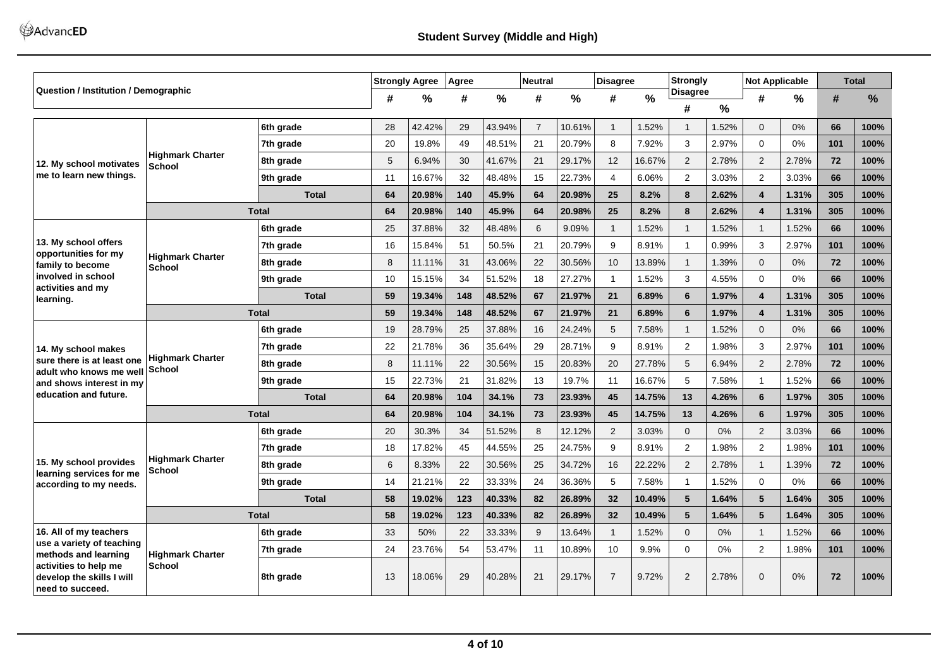AdvancED

|                                                                        |                                          |              |                | <b>Strongly Agree</b> | Agree |               | <b>Neutral</b> |        | <b>Disagree</b> |               | <b>Strongly</b> |       | <b>Not Applicable</b>   |       |     | <b>Total</b> |
|------------------------------------------------------------------------|------------------------------------------|--------------|----------------|-----------------------|-------|---------------|----------------|--------|-----------------|---------------|-----------------|-------|-------------------------|-------|-----|--------------|
| Question / Institution / Demographic                                   |                                          |              | #              | $\frac{0}{0}$         | #     | $\frac{0}{0}$ | #              | $\%$   | #               | $\frac{0}{0}$ | <b>Disagree</b> |       | #                       | %     | #   | %            |
|                                                                        |                                          |              |                |                       |       |               |                |        |                 |               | #               | %     |                         |       |     |              |
|                                                                        |                                          | 6th grade    | 28             | 42.42%                | 29    | 43.94%        | $\overline{7}$ | 10.61% | $\mathbf{1}$    | 1.52%         |                 | 1.52% | $\Omega$                | 0%    | 66  | 100%         |
|                                                                        |                                          | 7th grade    | 20             | 19.8%                 | 49    | 48.51%        | 21             | 20.79% | 8               | 7.92%         | 3               | 2.97% | $\Omega$                | 0%    | 101 | 100%         |
| 12. My school motivates                                                | <b>Highmark Charter</b><br><b>School</b> | 8th grade    | 5              | 6.94%                 | 30    | 41.67%        | 21             | 29.17% | 12              | 16.67%        | 2               | 2.78% | 2                       | 2.78% | 72  | 100%         |
| me to learn new things.                                                |                                          | 9th grade    | 11             | 16.67%                | 32    | 48.48%        | 15             | 22.73% | $\overline{4}$  | 6.06%         | $\overline{2}$  | 3.03% | 2                       | 3.03% | 66  | 100%         |
|                                                                        |                                          | <b>Total</b> | 64             | 20.98%                | 140   | 45.9%         | 64             | 20.98% | 25              | 8.2%          | 8               | 2.62% | 4                       | 1.31% | 305 | 100%         |
|                                                                        |                                          | <b>Total</b> | 64             | 20.98%                | 140   | 45.9%         | 64             | 20.98% | 25              | 8.2%          | 8               | 2.62% | $\overline{\mathbf{4}}$ | 1.31% | 305 | 100%         |
|                                                                        |                                          | 6th grade    | 25             | 37.88%                | 32    | 48.48%        | 6              | 9.09%  | $\mathbf{1}$    | 1.52%         | 1               | 1.52% | $\mathbf{1}$            | 1.52% | 66  | 100%         |
| 13. My school offers<br>opportunities for my                           |                                          | 7th grade    | 16             | 15.84%                | 51    | 50.5%         | 21             | 20.79% | 9               | 8.91%         |                 | 0.99% | 3                       | 2.97% | 101 | 100%         |
| family to become                                                       | <b>Highmark Charter</b><br><b>School</b> | 8th grade    | 8              | 11.11%                | 31    | 43.06%        | 22             | 30.56% | 10              | 13.89%        | $\overline{1}$  | 1.39% | $\mathbf{0}$            | 0%    | 72  | 100%         |
| involved in school<br>activities and my                                |                                          | 9th grade    | 10             | 15.15%                | 34    | 51.52%        | 18             | 27.27% | $\mathbf{1}$    | 1.52%         | 3               | 4.55% | 0                       | 0%    | 66  | 100%         |
| learning.                                                              |                                          | <b>Total</b> | 59             | 19.34%                | 148   | 48.52%        | 67             | 21.97% | 21              | 6.89%         | 6               | 1.97% | 4                       | 1.31% | 305 | 100%         |
|                                                                        |                                          | <b>Total</b> | 59             | 19.34%                | 148   | 48.52%        | 67             | 21.97% | 21              | 6.89%         | 6               | 1.97% | 4                       | 1.31% | 305 | 100%         |
|                                                                        |                                          | 6th grade    | 19             | 28.79%                | 25    | 37.88%        | 16             | 24.24% | 5               | 7.58%         | $\mathbf{1}$    | 1.52% | $\Omega$                | 0%    | 66  | 100%         |
| 14. My school makes                                                    |                                          | 7th grade    | 22             | 21.78%                | 36    | 35.64%        | 29             | 28.71% | 9               | 8.91%         | $\overline{2}$  | 1.98% | 3                       | 2.97% | 101 | 100%         |
| sure there is at least one<br>adult who knows me well                  | <b>Highmark Charter</b><br>School        | 8th grade    | 8              | 11.11%                | 22    | 30.56%        | 15             | 20.83% | 20              | 27.78%        | 5               | 6.94% | 2                       | 2.78% | 72  | 100%         |
| and shows interest in my                                               |                                          | 9th grade    | 15             | 22.73%                | 21    | 31.82%        | 13             | 19.7%  | 11              | 16.67%        | 5               | 7.58% | $\mathbf{1}$            | 1.52% | 66  | 100%         |
| education and future.                                                  |                                          | <b>Total</b> | 64             | 20.98%                | 104   | 34.1%         | 73             | 23.93% | 45              | 14.75%        | 13              | 4.26% | 6                       | 1.97% | 305 | 100%         |
|                                                                        |                                          | <b>Total</b> | 64             | 20.98%                | 104   | 34.1%         | 73             | 23.93% | 45              | 14.75%        | 13              | 4.26% | 6                       | 1.97% | 305 | 100%         |
|                                                                        |                                          | 6th grade    | 20             | 30.3%                 | 34    | 51.52%        | 8              | 12.12% | 2               | 3.03%         | $\Omega$        | 0%    | 2                       | 3.03% | 66  | 100%         |
|                                                                        |                                          | 7th grade    | 18             | 17.82%                | 45    | 44.55%        | 25             | 24.75% | 9               | 8.91%         | 2               | 1.98% | $\overline{2}$          | 1.98% | 101 | 100%         |
| 15. My school provides<br>learning services for me                     | <b>Highmark Charter</b><br>School        | 8th grade    | $6\phantom{1}$ | 8.33%                 | 22    | 30.56%        | 25             | 34.72% | 16              | 22.22%        | 2               | 2.78% | $\mathbf{1}$            | 1.39% | 72  | 100%         |
| according to my needs.                                                 |                                          | 9th grade    | 14             | 21.21%                | 22    | 33.33%        | 24             | 36.36% | 5               | 7.58%         | -1              | 1.52% | $\Omega$                | 0%    | 66  | 100%         |
|                                                                        |                                          | <b>Total</b> | 58             | 19.02%                | 123   | 40.33%        | 82             | 26.89% | 32              | 10.49%        | 5               | 1.64% | 5                       | 1.64% | 305 | 100%         |
|                                                                        |                                          | <b>Total</b> | 58             | 19.02%                | 123   | 40.33%        | 82             | 26.89% | 32              | 10.49%        | 5               | 1.64% | 5                       | 1.64% | 305 | 100%         |
| 16. All of my teachers                                                 |                                          | 6th grade    | 33             | 50%                   | 22    | 33.33%        | 9              | 13.64% | $\mathbf{1}$    | 1.52%         | $\Omega$        | 0%    | $\mathbf{1}$            | 1.52% | 66  | 100%         |
| use a variety of teaching<br>methods and learning                      | <b>Highmark Charter</b>                  | 7th grade    | 24             | 23.76%                | 54    | 53.47%        | 11             | 10.89% | 10              | 9.9%          | $\mathbf 0$     | 0%    | $\overline{2}$          | 1.98% | 101 | 100%         |
| activities to help me<br>develop the skills I will<br>need to succeed. | <b>School</b>                            | 8th grade    | 13             | 18.06%                | 29    | 40.28%        | 21             | 29.17% | $\overline{7}$  | 9.72%         | $\overline{2}$  | 2.78% | $\mathbf{0}$            | 0%    | 72  | 100%         |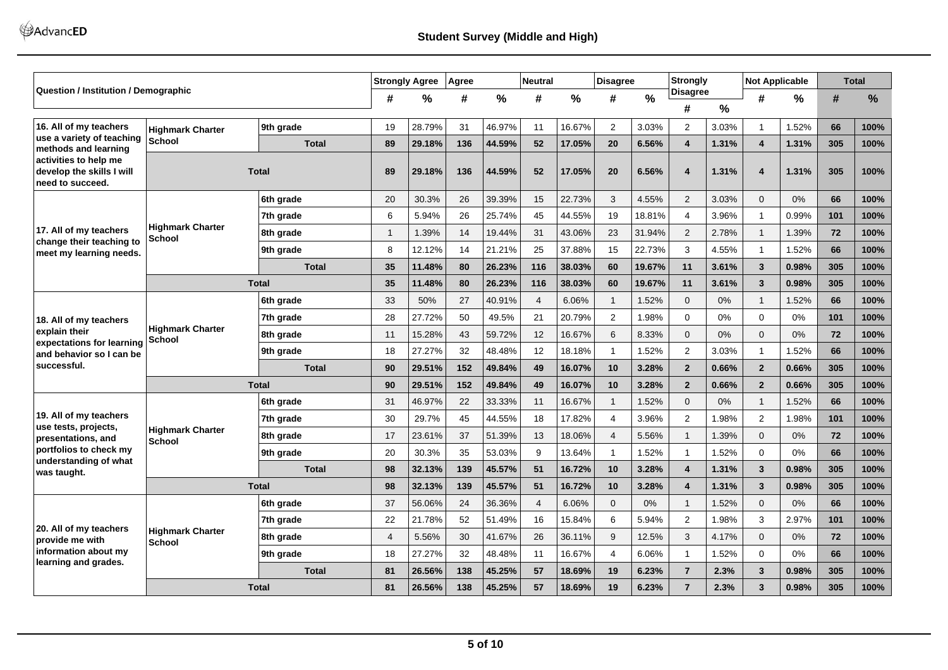AdvancED

| <b>Question / Institution / Demographic</b>                            |                                          |              |                | <b>Strongly Agree</b> | Agree |        | <b>Neutral</b> |        | <b>Disagree</b> |               | <b>Strongly</b>         |       | <b>Not Applicable</b>   |       |     | <b>Total</b> |
|------------------------------------------------------------------------|------------------------------------------|--------------|----------------|-----------------------|-------|--------|----------------|--------|-----------------|---------------|-------------------------|-------|-------------------------|-------|-----|--------------|
|                                                                        |                                          |              | #              | $\frac{0}{0}$         | #     | $\%$   | #              | $\%$   | #               | $\frac{0}{0}$ | <b>Disagree</b><br>#    | %     | #                       | %     | #   | %            |
|                                                                        |                                          |              |                |                       |       |        |                |        |                 |               |                         |       |                         |       |     |              |
| 16. All of my teachers<br>use a variety of teaching                    | <b>Highmark Charter</b>                  | 9th grade    | 19             | 28.79%                | 31    | 46.97% | 11             | 16.67% | 2               | 3.03%         | 2                       | 3.03% | $\overline{1}$          | 1.52% | 66  | 100%         |
| methods and learning                                                   | School                                   | <b>Total</b> | 89             | 29.18%                | 136   | 44.59% | 52             | 17.05% | 20              | 6.56%         | 4                       | 1.31% | 4                       | 1.31% | 305 | 100%         |
| activities to help me<br>develop the skills I will<br>need to succeed. |                                          | <b>Total</b> | 89             | 29.18%                | 136   | 44.59% | 52             | 17.05% | 20              | 6.56%         | 4                       | 1.31% | $\overline{\mathbf{4}}$ | 1.31% | 305 | 100%         |
|                                                                        |                                          | 6th grade    | 20             | 30.3%                 | 26    | 39.39% | 15             | 22.73% | 3               | 4.55%         | 2                       | 3.03% | $\Omega$                | 0%    | 66  | 100%         |
|                                                                        |                                          | 7th grade    | 6              | 5.94%                 | 26    | 25.74% | 45             | 44.55% | 19              | 18.81%        | 4                       | 3.96% | $\overline{1}$          | 0.99% | 101 | 100%         |
| 17. All of my teachers                                                 | <b>Highmark Charter</b><br>School        | 8th grade    | $\mathbf{1}$   | 1.39%                 | 14    | 19.44% | 31             | 43.06% | 23              | 31.94%        | $\overline{2}$          | 2.78% | $\mathbf{1}$            | 1.39% | 72  | 100%         |
| change their teaching to<br>meet my learning needs.                    |                                          | 9th grade    | 8              | 12.12%                | 14    | 21.21% | 25             | 37.88% | 15              | 22.73%        | 3                       | 4.55% | $\overline{1}$          | 1.52% | 66  | 100%         |
|                                                                        |                                          | <b>Total</b> | 35             | 11.48%                | 80    | 26.23% | 116            | 38.03% | 60              | 19.67%        | 11                      | 3.61% | 3                       | 0.98% | 305 | 100%         |
|                                                                        |                                          | <b>Total</b> | 35             | 11.48%                | 80    | 26.23% | 116            | 38.03% | 60              | 19.67%        | 11                      | 3.61% | 3                       | 0.98% | 305 | 100%         |
|                                                                        |                                          | 6th grade    | 33             | 50%                   | 27    | 40.91% | $\overline{4}$ | 6.06%  | $\mathbf{1}$    | 1.52%         | $\Omega$                | 0%    | $\mathbf{1}$            | 1.52% | 66  | 100%         |
| 18. All of my teachers                                                 |                                          | 7th grade    | 28             | 27.72%                | 50    | 49.5%  | 21             | 20.79% | 2               | 1.98%         | $\mathbf 0$             | 0%    | $\mathbf 0$             | 0%    | 101 | 100%         |
| explain their                                                          | <b>Highmark Charter</b><br>School        | 8th grade    | 11             | 15.28%                | 43    | 59.72% | 12             | 16.67% | 6               | 8.33%         | $\mathbf{0}$            | 0%    | $\mathbf{0}$            | 0%    | 72  | 100%         |
| expectations for learning<br>and behavior so I can be                  |                                          | 9th grade    | 18             | 27.27%                | 32    | 48.48% | 12             | 18.18% | $\mathbf{1}$    | 1.52%         | 2                       | 3.03% | $\overline{1}$          | 1.52% | 66  | 100%         |
| successful.                                                            |                                          | <b>Total</b> | 90             | 29.51%                | 152   | 49.84% | 49             | 16.07% | 10              | 3.28%         | $\overline{2}$          | 0.66% | $\overline{2}$          | 0.66% | 305 | 100%         |
|                                                                        |                                          | <b>Total</b> | 90             | 29.51%                | 152   | 49.84% | 49             | 16.07% | 10              | 3.28%         | $\overline{2}$          | 0.66% | $\overline{2}$          | 0.66% | 305 | 100%         |
|                                                                        |                                          | 6th grade    | 31             | 46.97%                | 22    | 33.33% | 11             | 16.67% | $\mathbf{1}$    | 1.52%         | $\Omega$                | 0%    | $\overline{1}$          | 1.52% | 66  | 100%         |
| 19. All of my teachers                                                 |                                          | 7th grade    | 30             | 29.7%                 | 45    | 44.55% | 18             | 17.82% | $\overline{4}$  | 3.96%         | 2                       | 1.98% | $\overline{2}$          | 1.98% | 101 | 100%         |
| use tests, projects,<br>presentations, and                             | <b>Highmark Charter</b><br><b>School</b> | 8th grade    | 17             | 23.61%                | 37    | 51.39% | 13             | 18.06% | $\overline{4}$  | 5.56%         |                         | 1.39% | $\Omega$                | 0%    | 72  | 100%         |
| portfolios to check my                                                 |                                          | 9th grade    | 20             | 30.3%                 | 35    | 53.03% | 9              | 13.64% | $\mathbf{1}$    | 1.52%         | $\mathbf{1}$            | 1.52% | $\Omega$                | 0%    | 66  | 100%         |
| understanding of what<br>was taught.                                   |                                          | <b>Total</b> | 98             | 32.13%                | 139   | 45.57% | 51             | 16.72% | 10              | 3.28%         | $\overline{\mathbf{4}}$ | 1.31% | $\overline{\mathbf{3}}$ | 0.98% | 305 | 100%         |
|                                                                        |                                          | <b>Total</b> | 98             | 32.13%                | 139   | 45.57% | 51             | 16.72% | 10              | 3.28%         | $\overline{\mathbf{4}}$ | 1.31% | 3                       | 0.98% | 305 | 100%         |
|                                                                        |                                          | 6th grade    | 37             | 56.06%                | 24    | 36.36% | $\overline{4}$ | 6.06%  | $\mathbf{0}$    | 0%            |                         | 1.52% | $\mathbf{0}$            | 0%    | 66  | 100%         |
|                                                                        |                                          | 7th grade    | 22             | 21.78%                | 52    | 51.49% | 16             | 15.84% | 6               | 5.94%         | 2                       | 1.98% | 3                       | 2.97% | 101 | 100%         |
| 20. All of my teachers<br>provide me with                              | <b>Highmark Charter</b><br>School        | 8th grade    | $\overline{4}$ | 5.56%                 | 30    | 41.67% | 26             | 36.11% | 9               | 12.5%         | 3                       | 4.17% | $\mathbf{0}$            | 0%    | 72  | 100%         |
| information about my                                                   |                                          | 9th grade    | 18             | 27.27%                | 32    | 48.48% | 11             | 16.67% | $\overline{4}$  | 6.06%         | 1                       | 1.52% | $\mathbf 0$             | 0%    | 66  | 100%         |
| learning and grades.                                                   |                                          | <b>Total</b> | 81             | 26.56%                | 138   | 45.25% | 57             | 18.69% | 19              | 6.23%         | $\overline{7}$          | 2.3%  | 3                       | 0.98% | 305 | 100%         |
|                                                                        |                                          | <b>Total</b> | 81             | 26.56%                | 138   | 45.25% | 57             | 18.69% | 19              | 6.23%         | $\overline{7}$          | 2.3%  | 3                       | 0.98% | 305 | 100%         |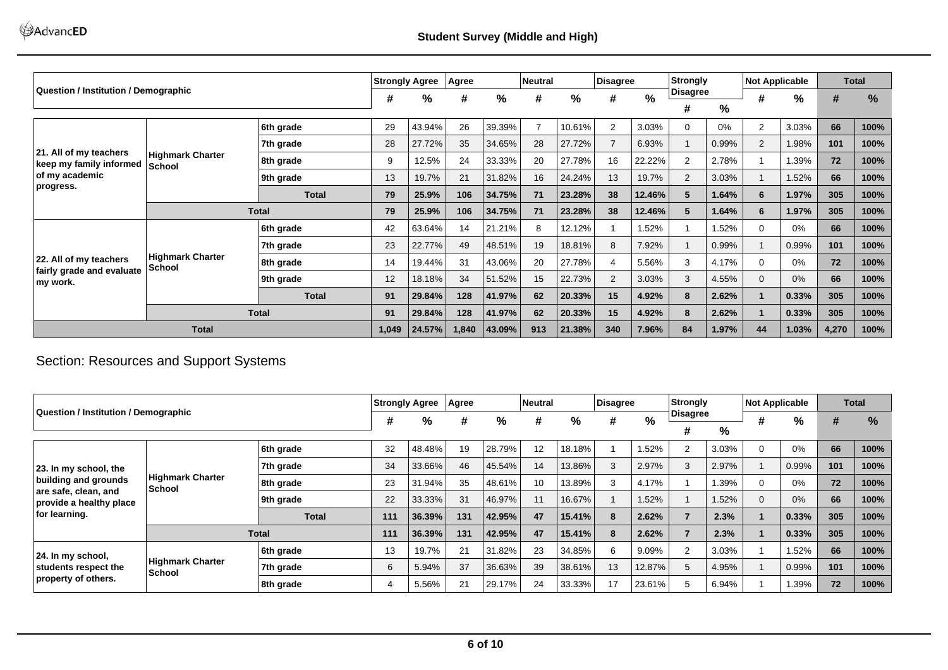|                                                   |                                   |              | <b>Strongly Agree</b> |        | Agree |        | <b>Neutral</b> |        | Disagree       |        | Strongly |       | <b>Not Applicable</b> |       | <b>Total</b> |               |
|---------------------------------------------------|-----------------------------------|--------------|-----------------------|--------|-------|--------|----------------|--------|----------------|--------|----------|-------|-----------------------|-------|--------------|---------------|
| Question / Institution / Demographic              |                                   |              | #                     | %      | #     | %      | #              | %      | #              | $\%$   | Disagree |       | #                     | $\%$  | #            | $\frac{9}{6}$ |
|                                                   |                                   |              |                       |        |       |        |                |        |                |        | #        | %     |                       |       |              |               |
|                                                   |                                   | 6th grade    | 29                    | 43.94% | 26    | 39.39% | $\overline{7}$ | 10.61% | 2              | 3.03%  |          | 0%    | $\overline{2}$        | 3.03% | 66           | 100%          |
|                                                   |                                   | 7th grade    | 28                    | 27.72% | 35    | 34.65% | 28             | 27.72% | $\overline{7}$ | 6.93%  |          | 0.99% | 2                     | .98%  | 101          | 100%          |
| 21. All of my teachers<br>keep my family informed | <b>Highmark Charter</b><br>School | 8th grade    | 9                     | 12.5%  | 24    | 33.33% | 20             | 27.78% | 16             | 22.22% | 2        | 2.78% |                       | .39%  | 72           | 100%          |
| of my academic                                    |                                   | 9th grade    | 13                    | 19.7%  | 21    | 31.82% | 16             | 24.24% | 13             | 19.7%  | 2        | 3.03% |                       | .52%  | 66           | 100%          |
| progress.                                         |                                   | <b>Total</b> | 79                    | 25.9%  | 106   | 34.75% | 71             | 23.28% | 38             | 12.46% | 5        | 1.64% | 6                     | 1.97% | 305          | 100%          |
|                                                   |                                   | <b>Total</b> | 79                    | 25.9%  | 106   | 34.75% | 71             | 23.28% | 38             | 12.46% | 5        | 1.64% | 6                     | 1.97% | 305          | 100%          |
|                                                   | 6th grade                         |              |                       | 63.64% | 14    | 21.21% | 8              | 12.12% |                | 1.52%  |          | 1.52% | $\Omega$              | 0%    | 66           | 100%          |
|                                                   |                                   | 7th grade    | 23                    | 22.77% | 49    | 48.51% | 19             | 18.81% | 8              | 7.92%  |          | 0.99% |                       | 0.99% | 101          | 100%          |
| 22. All of my teachers                            | <b>Highmark Charter</b><br>School | 8th grade    | 14                    | 19.44% | 31    | 43.06% | 20             | 27.78% | $\overline{4}$ | 5.56%  | 3        | 4.17% | $\Omega$              | 0%    | 72           | 100%          |
| fairly grade and evaluate<br>my work.             |                                   | 9th grade    | 12                    | 18.18% | 34    | 51.52% | 15             | 22.73% | 2              | 3.03%  | 3        | 4.55% | $\Omega$              | 0%    | 66           | 100%          |
|                                                   |                                   | <b>Total</b> | 91                    | 29.84% | 128   | 41.97% | 62             | 20.33% | 15             | 4.92%  | 8        | 2.62% |                       | 0.33% | 305          | 100%          |
|                                                   | <b>Total</b>                      |              |                       | 29.84% | 128   | 41.97% | 62             | 20.33% | 15             | 4.92%  |          | 2.62% |                       | 0.33% | 305          | 100%          |
|                                                   | <b>Total</b>                      |              |                       |        | 1,840 | 43.09% | 913            | 21.38% | 340            | 7.96%  | 84       | 1.97% | 44                    | 1.03% | 4,270        | 100%          |

# Section: Resources and Support Systems

|                                                                         |                                   |              |     | <b>Strongly Agree</b> | Agree |        | Neutral |           | Disagree |        | Strongly |       | <b>Not Applicable</b> |       |     | <b>Total</b> |
|-------------------------------------------------------------------------|-----------------------------------|--------------|-----|-----------------------|-------|--------|---------|-----------|----------|--------|----------|-------|-----------------------|-------|-----|--------------|
| <b>Question / Institution / Demographic</b>                             |                                   |              | #   | %                     | #     | %      | #       | %         | #        | $\%$   | Disagree |       |                       | $\%$  | #   | %            |
|                                                                         |                                   |              |     |                       |       |        |         |           |          |        | #        | %     |                       |       |     |              |
|                                                                         |                                   | 6th grade    | 32  | 48.48%                | 19    | 28.79% | 12      | 18.18%    |          | .52%   | 2        | 3.03% | υ                     | 0%    | 66  | 100%         |
| 23. In my school, the                                                   |                                   | 7th grade    | 34  | 33.66%                | 46    | 45.54% | 14      | 13.86%    | 3        | 2.97%  | 3        | 2.97% |                       | 0.99% | 101 | 100%         |
| building and grounds<br>are safe, clean, and<br>provide a healthy place | <b>Highmark Charter</b><br>School | 8th grade    | 23  | 31.94%                | 35    | 48.61% | 10      | 13.89%    | 3        | 4.17%  |          | .39%  | 0                     | 0%    | 72  | 100%         |
|                                                                         |                                   | 9th grade    | 22  | 33.33%                | 31    | 46.97% | 11      | 16.67%    |          | 1.52%  |          | 1.52% | $\Omega$              | 0%    | 66  | 100%         |
| for learning.                                                           |                                   | <b>Total</b> | 111 | 36.39%                | 131   | 42.95% | 47      | 15.41%    | 8        | 2.62%  |          | 2.3%  |                       | 0.33% | 305 | 100%         |
|                                                                         |                                   | <b>Total</b> | 111 | 36.39%                | 131   | 42.95% | 47      | $15.41\%$ | 8        | 2.62%  |          | 2.3%  |                       | 0.33% | 305 | 100%         |
| $ 24.$ In my school,<br>students respect the<br>property of others.     |                                   | 6th grade    | 13  | 19.7%                 | 21    | 31.82% | 23      | 34.85%    | 6        | 9.09%  |          | 3.03% |                       | 52%،  | 66  | 100%         |
|                                                                         | <b>Highmark Charter</b><br>School | 7th grade    | 6   | 5.94%                 | 37    | 36.63% | 39      | 38.61%    | 13       | 12.87% | 5        | 4.95% |                       | 0.99% | 101 | 100%         |
|                                                                         |                                   | 8th grade    | 4   | 5.56%                 | 21    | 29.17% | 24      | 33.33%    | 17       | 23.61% |          | 6.94% |                       | l.39% | 72  | 100%         |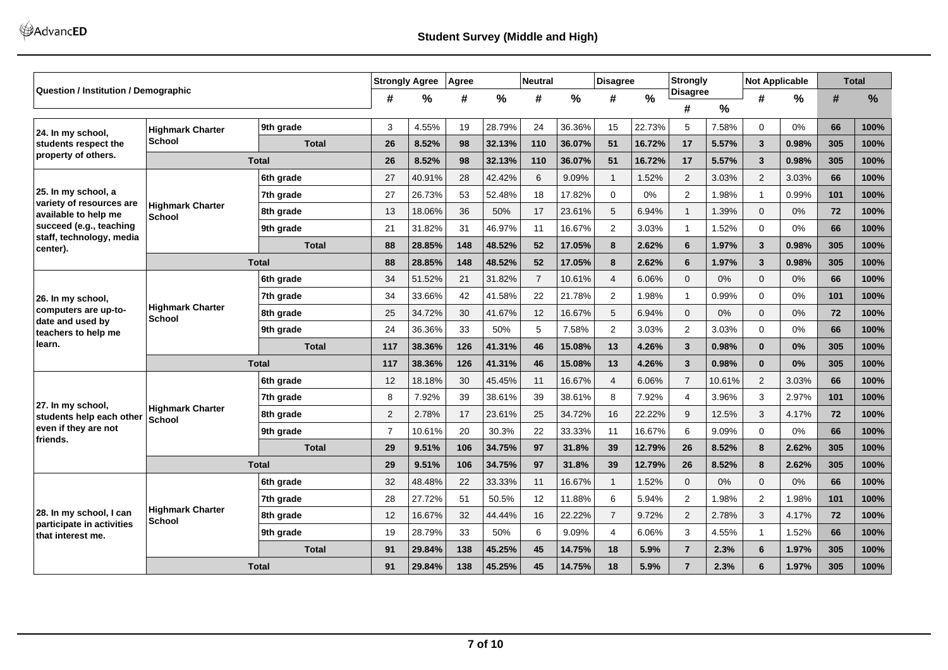|                                                      |                                          |              | <b>Strongly Agree</b> |               | Agree |        | <b>Neutral</b> |               | <b>Disagree</b> |               | <b>Strongly</b>      |        |                | <b>Not Applicable</b> |     | <b>Total</b> |
|------------------------------------------------------|------------------------------------------|--------------|-----------------------|---------------|-------|--------|----------------|---------------|-----------------|---------------|----------------------|--------|----------------|-----------------------|-----|--------------|
| <b>Question / Institution / Demographic</b>          |                                          |              | #                     | $\frac{0}{0}$ | #     | %      | #              | $\frac{0}{0}$ | #               | $\frac{0}{0}$ | <b>Disagree</b><br># | $\%$   | #              | %                     | #   | %            |
| 24. In my school,                                    | <b>Highmark Charter</b>                  | 9th grade    | 3                     | 4.55%         | 19    | 28.79% | 24             | 36.36%        | 15              | 22.73%        | 5                    | 7.58%  | $\Omega$       | 0%                    | 66  | 100%         |
| students respect the                                 | <b>School</b>                            | <b>Total</b> | 26                    | 8.52%         | 98    | 32.13% | 110            | 36.07%        | 51              | 16.72%        | 17                   | 5.57%  | 3              | 0.98%                 | 305 | 100%         |
| property of others.                                  |                                          | <b>Total</b> | 26                    | 8.52%         | 98    | 32.13% | 110            | 36.07%        | 51              | 16.72%        | 17                   | 5.57%  | $\overline{3}$ | 0.98%                 | 305 | 100%         |
|                                                      |                                          | 6th grade    | 27                    | 40.91%        | 28    | 42.42% | 6              | 9.09%         | $\mathbf 1$     | 1.52%         | $\overline{2}$       | 3.03%  | 2              | 3.03%                 | 66  | 100%         |
| 25. In my school, a<br>variety of resources are      |                                          | 7th grade    | 27                    | 26.73%        | 53    | 52.48% | 18             | 17.82%        | $\mathbf 0$     | 0%            | $\overline{2}$       | 1.98%  | $\mathbf{1}$   | 0.99%                 | 101 | 100%         |
| available to help me                                 | <b>Highmark Charter</b><br>School        | 8th grade    | 13                    | 18.06%        | 36    | 50%    | 17             | 23.61%        | 5               | 6.94%         | $\overline{1}$       | 1.39%  | $\Omega$       | 0%                    | 72  | 100%         |
| succeed (e.g., teaching<br>staff, technology, media  |                                          | 9th grade    | 21                    | 31.82%        | 31    | 46.97% | 11             | 16.67%        | $\overline{2}$  | 3.03%         | $\overline{1}$       | 1.52%  | $\mathbf 0$    | 0%                    | 66  | 100%         |
| center).                                             |                                          | <b>Total</b> | 88                    | 28.85%        | 148   | 48.52% | 52             | 17.05%        | 8               | 2.62%         | 6                    | 1.97%  | 3              | 0.98%                 | 305 | 100%         |
|                                                      |                                          | <b>Total</b> | 88                    | 28.85%        | 148   | 48.52% | 52             | 17.05%        | 8               | 2.62%         | 6                    | 1.97%  | $\mathbf{3}$   | 0.98%                 | 305 | 100%         |
|                                                      |                                          | 6th grade    | 34                    | 51.52%        | 21    | 31.82% | $\overline{7}$ | 10.61%        | $\overline{4}$  | 6.06%         | $\mathbf{0}$         | 0%     | 0              | 0%                    | 66  | 100%         |
| 26. In my school,                                    |                                          | 7th grade    | 34                    | 33.66%        | 42    | 41.58% | 22             | 21.78%        | $\overline{2}$  | 1.98%         | $\overline{1}$       | 0.99%  | $\Omega$       | 0%                    | 101 | 100%         |
| computers are up-to-<br>date and used by             | <b>Highmark Charter</b><br><b>School</b> | 8th grade    | 25                    | 34.72%        | 30    | 41.67% | 12             | 16.67%        | 5               | 6.94%         | $\Omega$             | 0%     | $\Omega$       | 0%                    | 72  | 100%         |
| teachers to help me                                  |                                          | 9th grade    | 24                    | 36.36%        | 33    | 50%    | 5              | 7.58%         | 2               | 3.03%         | 2                    | 3.03%  | 0              | 0%                    | 66  | 100%         |
| learn.                                               |                                          | <b>Total</b> | 117                   | 38.36%        | 126   | 41.31% | 46             | 15.08%        | 13              | 4.26%         | $\overline{3}$       | 0.98%  | $\bf{0}$       | 0%                    | 305 | 100%         |
|                                                      |                                          | <b>Total</b> | 117                   | 38.36%        | 126   | 41.31% | 46             | 15.08%        | 13              | 4.26%         | $\overline{3}$       | 0.98%  | $\mathbf{0}$   | 0%                    | 305 | 100%         |
|                                                      |                                          | 6th grade    | 12                    | 18.18%        | 30    | 45.45% | 11             | 16.67%        | $\overline{4}$  | 6.06%         | $\overline{7}$       | 10.61% | 2              | 3.03%                 | 66  | 100%         |
| 27. In my school,                                    |                                          | 7th grade    | 8                     | 7.92%         | 39    | 38.61% | 39             | 38.61%        | 8               | 7.92%         | 4                    | 3.96%  | 3              | 2.97%                 | 101 | 100%         |
| students help each other                             | <b>Highmark Charter</b><br><b>School</b> | 8th grade    | $\overline{2}$        | 2.78%         | 17    | 23.61% | 25             | 34.72%        | 16              | 22.22%        | 9                    | 12.5%  | 3              | 4.17%                 | 72  | 100%         |
| even if they are not<br>friends.                     |                                          | 9th grade    | $\overline{7}$        | 10.61%        | 20    | 30.3%  | 22             | 33.33%        | 11              | 16.67%        | 6                    | 9.09%  | $\mathbf 0$    | 0%                    | 66  | 100%         |
|                                                      |                                          | <b>Total</b> | 29                    | 9.51%         | 106   | 34.75% | 97             | 31.8%         | 39              | 12.79%        | 26                   | 8.52%  | 8              | 2.62%                 | 305 | 100%         |
|                                                      |                                          | <b>Total</b> | 29                    | 9.51%         | 106   | 34.75% | 97             | 31.8%         | 39              | 12.79%        | 26                   | 8.52%  | 8              | 2.62%                 | 305 | 100%         |
|                                                      |                                          | 6th grade    | 32                    | 48.48%        | 22    | 33.33% | 11             | 16.67%        | $\mathbf{1}$    | 1.52%         | $\mathbf{0}$         | 0%     | $\Omega$       | 0%                    | 66  | 100%         |
|                                                      |                                          | 7th grade    | 28                    | 27.72%        | 51    | 50.5%  | 12             | 11.88%        | 6               | 5.94%         | 2                    | 1.98%  | 2              | .98%                  | 101 | 100%         |
| 28. In my school, I can<br>participate in activities | <b>Highmark Charter</b><br><b>School</b> | 8th grade    | 12                    | 16.67%        | 32    | 44.44% | 16             | 22.22%        | $\overline{7}$  | 9.72%         | $\overline{2}$       | 2.78%  | 3              | 4.17%                 | 72  | 100%         |
| that interest me.                                    |                                          | 9th grade    | 19                    | 28.79%        | 33    | 50%    | 6              | 9.09%         | $\overline{4}$  | 6.06%         | 3                    | 4.55%  | $\overline{1}$ | .52%                  | 66  | 100%         |
|                                                      |                                          | <b>Total</b> | 91                    | 29.84%        | 138   | 45.25% | 45             | 14.75%        | 18              | 5.9%          | $\overline{7}$       | 2.3%   | 6              | 1.97%                 | 305 | 100%         |
|                                                      |                                          | <b>Total</b> | 91                    | 29.84%        | 138   | 45.25% | 45             | 14.75%        | 18              | 5.9%          | $\overline{7}$       | 2.3%   | 6              | 1.97%                 | 305 | 100%         |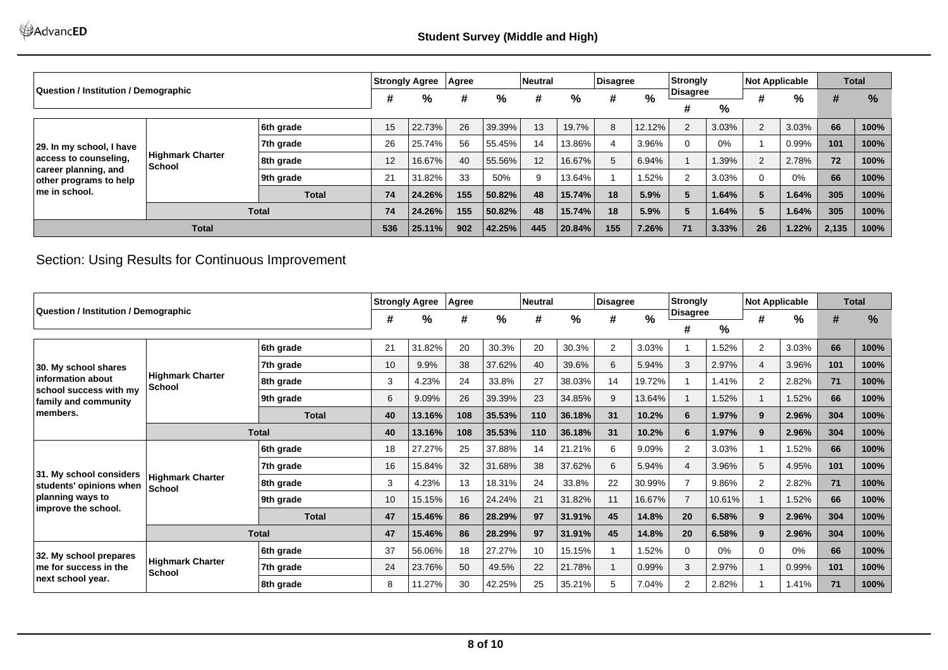|                                                |                                          |              | <b>Strongly Agree</b> |        | <b>Agree</b> |        | <b>Neutral</b>  |        | Disagree |        | Strongly  |       | <b>Not Applicable</b> |       |       | <b>Total</b>  |
|------------------------------------------------|------------------------------------------|--------------|-----------------------|--------|--------------|--------|-----------------|--------|----------|--------|-----------|-------|-----------------------|-------|-------|---------------|
| Question / Institution / Demographic           |                                          |              | #                     | %      | #            | %      | #               | %      | #        | %      | ∣Disagree |       |                       | %     | #     | $\frac{9}{6}$ |
|                                                |                                          |              |                       |        |              |        |                 |        |          |        | #         | %     |                       |       |       |               |
|                                                |                                          | 6th grade    | 15                    | 22.73% | 26           | 39.39% | 13              | 19.7%  | 8        | 12.12% |           | 3.03% |                       | 3.03% | 66    | 100%          |
| 29. In my school, I have                       |                                          | 7th grade    | 26                    | 25.74% | 56           | 55.45% | 14              | 13.86% | 4        | 3.96%  |           | 0%    |                       | 0.99% | 101   | 100%          |
| access to counseling,                          | <b>Highmark Charter</b><br><b>School</b> | 8th grade    | 12 <sup>°</sup>       | 16.67% | 40           | 55.56% | 12 <sup>1</sup> | 16.67% | 5        | 6.94%  |           | 1.39% |                       | 2.78% | 72    | 100%          |
| career planning, and<br>other programs to help |                                          | 9th grade    | 21                    | 31.82% | 33           | 50%    | 9               | 13.64% |          | 1.52%  |           | 3.03% |                       | 0%    | 66    | 100%          |
| ∣me in school.                                 |                                          | <b>Total</b> | 74                    | 24.26% | 155          | 50.82% | 48              | 15.74% | 18       | 5.9%   |           | 1.64% |                       | 1.64% | 305   | 100%          |
|                                                | <b>Total</b>                             |              |                       |        | 155          | 50.82% | 48              | 15.74% | 18       | 5.9%   |           | 1.64% |                       | 1.64% | 305   | 100%          |
|                                                | <b>Total</b>                             |              |                       | 25.11% | 902          | 42.25% | 445             | 20.84% | 155      | 7.26%  | 71        | 3.33% | 26                    | 1.22% | 2,135 | 100%          |

Section: Using Results for Continuous Improvement

|                                                                      |                                   |              |    | <b>Strongly Agree</b> | Agree |        | <b>Neutral</b> |        | Disagree |               | Strongly       |        | <b>Not Applicable</b> |       |     | <b>Total</b> |
|----------------------------------------------------------------------|-----------------------------------|--------------|----|-----------------------|-------|--------|----------------|--------|----------|---------------|----------------|--------|-----------------------|-------|-----|--------------|
| Question / Institution / Demographic                                 |                                   |              | #  | $\frac{9}{6}$         | #     | %      | #              | %      | #        | $\frac{0}{0}$ | Disagree       |        | #                     | %     | #   | %            |
|                                                                      |                                   |              |    |                       |       |        |                |        |          |               | #              | %      |                       |       |     |              |
|                                                                      |                                   | 6th grade    | 21 | 31.82%                | 20    | 30.3%  | 20             | 30.3%  | 2        | 3.03%         |                | .52%   | 2                     | 3.03% | 66  | 100%         |
| 30. My school shares                                                 |                                   | 7th grade    | 10 | 9.9%                  | 38    | 37.62% | 40             | 39.6%  | 6        | 5.94%         | 3              | 2.97%  | $\overline{4}$        | 3.96% | 101 | 100%         |
| information about<br>school success with my                          | <b>Highmark Charter</b><br>School | 8th grade    | 3  | 4.23%                 | 24    | 33.8%  | 27             | 38.03% | 14       | 19.72%        |                | .41%   | 2                     | 2.82% | 71  | 100%         |
| family and community                                                 |                                   | 9th grade    | 6  | 9.09%                 | 26    | 39.39% | 23             | 34.85% | 9        | 13.64%        |                | .52%   |                       | .52%  | 66  | 100%         |
| members.                                                             |                                   | <b>Total</b> | 40 | 13.16%                | 108   | 35.53% | 110            | 36.18% | 31       | 10.2%         | 6              | 1.97%  | 9                     | 2.96% | 304 | 100%         |
|                                                                      |                                   | <b>Total</b> | 40 | 13.16%                | 108   | 35.53% | 110            | 36.18% | 31       | 10.2%         |                | 1.97%  | 9                     | 2.96% | 304 | 100%         |
|                                                                      |                                   | 6th grade    | 18 | 27.27%                | 25    | 37.88% | 14             | 21.21% | 6        | 9.09%         | $\overline{2}$ | 3.03%  |                       | .52%  | 66  | 100%         |
| 31. My school considers                                              |                                   | 7th grade    | 16 | 15.84%                | 32    | 31.68% | 38             | 37.62% | 6        | 5.94%         |                | 3.96%  | 5                     | 4.95% | 101 | 100%         |
| students' opinions when                                              | <b>Highmark Charter</b><br>School | 8th grade    | 3  | 4.23%                 | 13    | 18.31% | 24             | 33.8%  | 22       | 30.99%        |                | 9.86%  | 2                     | 2.82% | 71  | 100%         |
| planning ways to                                                     |                                   | 9th grade    | 10 | 15.15%                | 16    | 24.24% | 21             | 31.82% | 11       | 16.67%        |                | 10.61% |                       | 1.52% | 66  | 100%         |
| improve the school.                                                  |                                   | <b>Total</b> | 47 | 15.46%                | 86    | 28.29% | 97             | 31.91% | 45       | 14.8%         | 20             | 6.58%  | 9                     | 2.96% | 304 | 100%         |
|                                                                      |                                   | <b>Total</b> | 47 | 15.46%                | 86    | 28.29% | 97             | 31.91% | 45       | 14.8%         | 20             | 6.58%  | 9                     | 2.96% | 304 | 100%         |
| 32. My school prepares<br>me for success in the<br>next school year. |                                   | 6th grade    | 37 | 56.06%                | 18    | 27.27% | 10             | 15.15% |          | 1.52%         | U              | $0\%$  | $\Omega$              | 0%    | 66  | 100%         |
|                                                                      | <b>Highmark Charter</b><br>School | 7th grade    | 24 | 23.76%                | 50    | 49.5%  | 22             | 21.78% |          | 0.99%         | 3              | 2.97%  |                       | 0.99% | 101 | 100%         |
|                                                                      |                                   | 8th grade    | 8  | 11.27%                | 30    | 42.25% | 25             | 35.21% | 5        | 7.04%         | 2              | 2.82%  |                       | 1.41% | 71  | 100%         |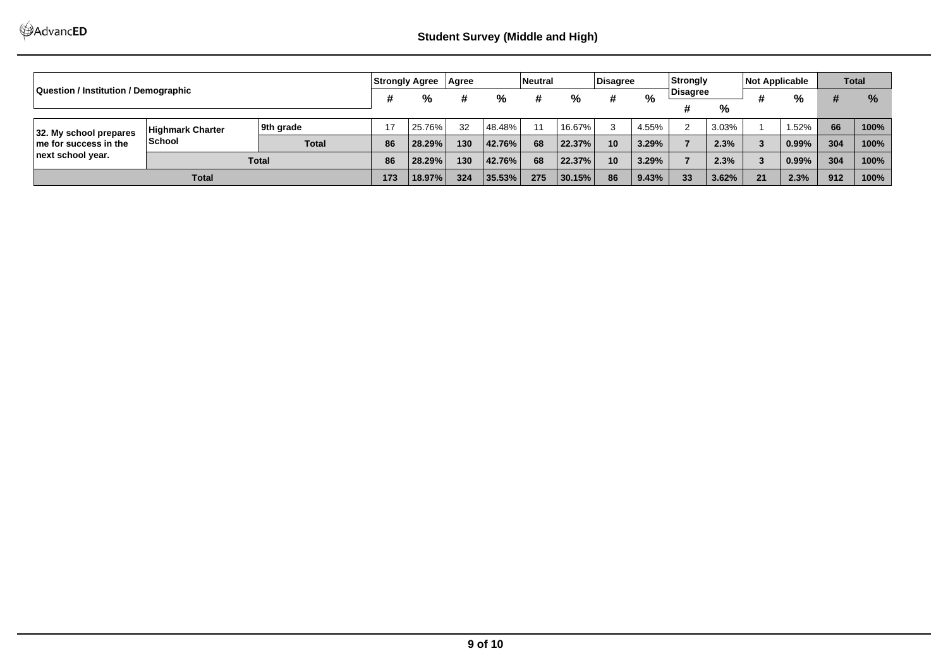| Question / Institution / Demographic                                      |                                   | Strongly Agree   Agree |        |        |         | Neutral   |        | Disagree |       | Strongly |               | <b>Not Applicable</b> |      | <b>Total</b> |      |      |
|---------------------------------------------------------------------------|-----------------------------------|------------------------|--------|--------|---------|-----------|--------|----------|-------|----------|---------------|-----------------------|------|--------------|------|------|
|                                                                           |                                   | %<br>#<br>%            |        | %<br># | %<br>#  | ∣Disagree |        | 4        | %     | #        | $\frac{9}{6}$ |                       |      |              |      |      |
|                                                                           |                                   |                        |        |        |         |           |        |          |       |          | %             |                       |      |              |      |      |
| 32. My school prepares<br>$\ln$ e for success in the<br>next school year. | Highmark Charter<br><b>School</b> | 9th grade              |        | 25.76% | 32      | 48.48%    | 11     | 16.67%   | 3     | 4.55%    |               | 3.03%                 |      | 1.52%        | 66   | 100% |
|                                                                           |                                   | <b>Total</b>           | 86     | 28.29% | 130     | 42.76%    | 68     | 22.37%   | 10    | 3.29%    |               | 2.3%                  | 3    | 0.99%        | 304  | 100% |
|                                                                           | <b>Total</b>                      |                        | 86     | 28.29% | 130     | 42.76%    | 68     | 22.37%   | 10    | 3.29%    |               | 2.3%                  | 3    | 0.99%        | 304  | 100% |
| <b>Total</b>                                                              |                                   | 173                    | 18.97% | 324    | 135.53% | 275       | 30.15% | 86       | 9.43% | 33       | 3.62%         | 21                    | 2.3% | 912          | 100% |      |